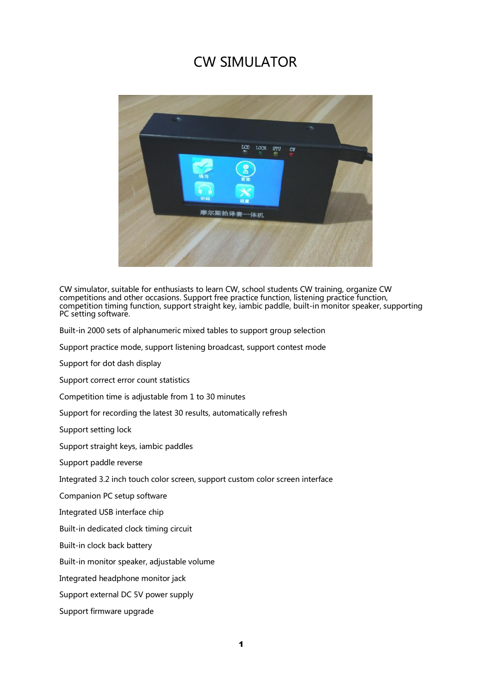### CW SIMULATOR



CW simulator, suitable for enthusiasts to learn CW, school students CW training, organize CW competitions and other occasions. Support free practice function, listening practice function, competition timing function, support straight key, iambic paddle, built-in monitor speaker, supporting PC setting software.

Built-in 2000 sets of alphanumeric mixed tables to support group selection

Support practice mode, support listening broadcast, support contest mode

Support for dot dash display

Support correct error count statistics

Competition time is adjustable from 1 to 30 minutes

Support for recording the latest 30 results, automatically refresh

Support setting lock

Support straight keys, iambic paddles

Support paddle reverse

Integrated 3.2 inch touch color screen, support custom color screen interface

Companion PC setup software

Integrated USB interface chip

Built-in dedicated clock timing circuit

Built-in clock back battery

Built-in monitor speaker, adjustable volume

Integrated headphone monitor jack

Support external DC 5V power supply

Support firmware upgrade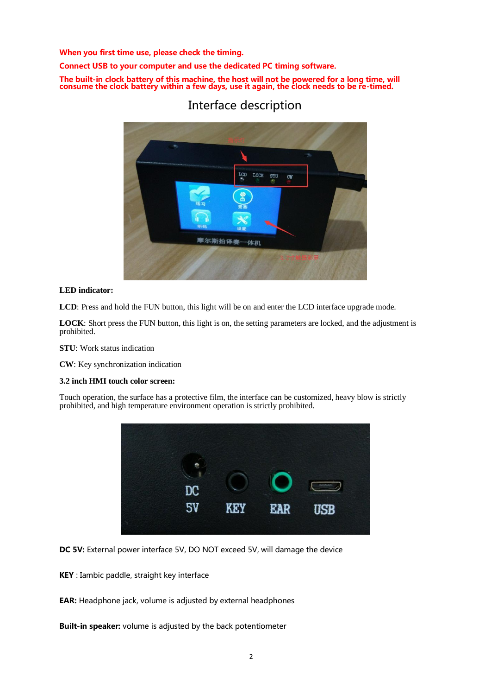When you first time use, please check the timing.

Connect USB to your computer and use the dedicated PC timing software.

The built-in clock battery of this machine, the host will not be powered for a long time, will consume the clock battery within a few days, use it again, the clock needs to be re-timed.



### Interface description

#### **LED indicator:**

**LCD**: Press and hold the FUN button, this light will be on and enter the LCD interface upgrade mode.

**LOCK**: Short press the FUN button, this light is on, the setting parameters are locked, and the adjustment is prohibited.

**STU**: Work status indication

**CW**: Key synchronization indication

#### **3.2 inch HMI touch color screen:**

Touch operation, the surface has a protective film, the interface can be customized, heavy blow is strictly prohibited, and high temperature environment operation is strictly prohibited.



DC 5V: External power interface 5V, DO NOT exceed 5V, will damage the device

KEY : Iambic paddle, straight key interface

EAR: Headphone jack, volume is adjusted by external headphones

Built-in speaker: volume is adjusted by the back potentiometer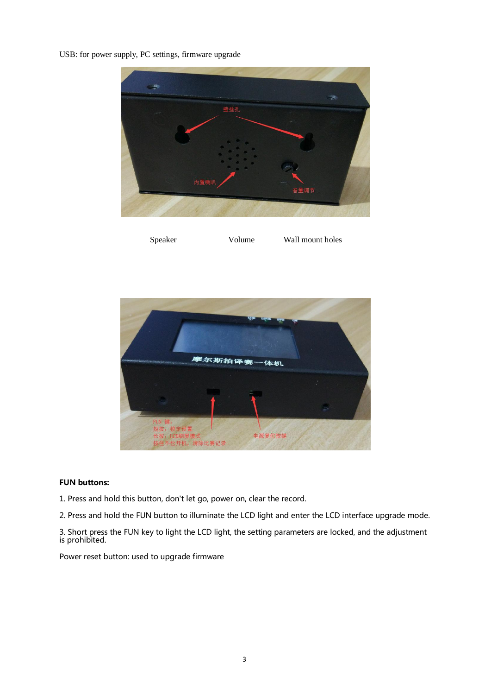USB: for power supply, PC settings, firmware upgrade



Speaker Volume Wall mount holes



#### FUN buttons:

- 1. Press and hold this button, don't let go, power on, clear the record.
- 2. Press and hold the FUN button to illuminate the LCD light and enter the LCD interface upgrade mode.

3. Short press the FUN key to light the LCD light, the setting parameters are locked, and the adjustment is prohibited.

Power reset button: used to upgrade firmware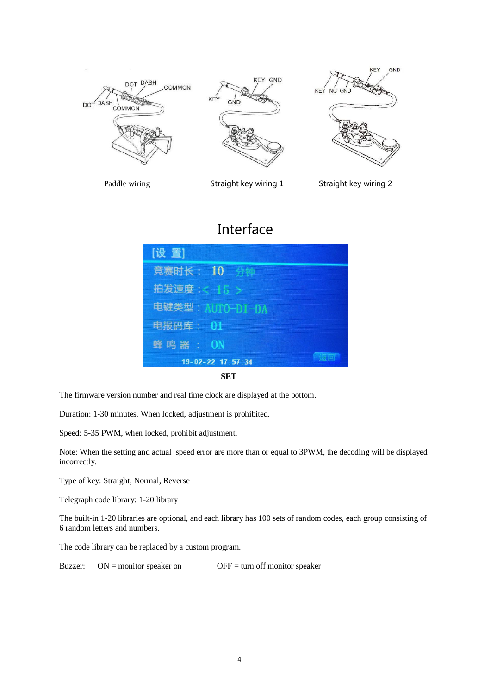

Paddle wiring Straight key wiring 1 Straight key wiring 2

# Interface



**SET**

The firmware version number and real time clock are displayed at the bottom.

Duration: 1-30 minutes. When locked, adjustment is prohibited.

Speed: 5-35 PWM, when locked, prohibit adjustment.

Note: When the setting and actual speed error are more than or equal to 3PWM, the decoding will be displayed incorrectly.

Type of key: Straight, Normal, Reverse

Telegraph code library: 1-20 library

The built-in 1-20 libraries are optional, and each library has 100 sets of random codes, each group consisting of 6 random letters and numbers.

The code library can be replaced by a custom program.

Buzzer:  $ON =$  monitor speaker on  $OFF =$  turn off monitor speaker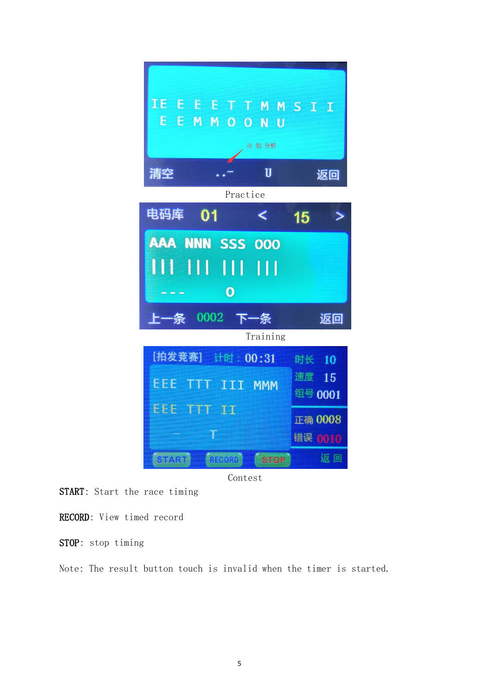



START: Start the race timing

RECORD: View timed record

STOP: stop timing

Note: The result button touch is invalid when the timer is started.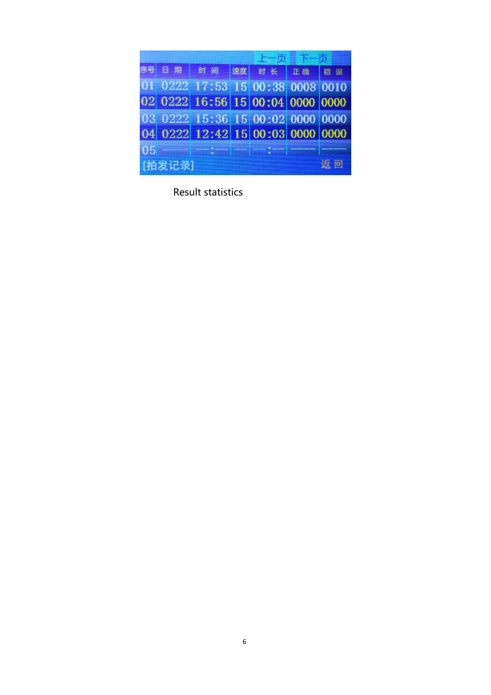| 暑      | 日期 | 时间                               | 课度 | 时长工确错误 |  |  |
|--------|----|----------------------------------|----|--------|--|--|
|        |    | 01 0222 17:53 15 00:38 0008 0010 |    |        |  |  |
|        |    | 02 0222 16:56 15 00:04 0000 0000 |    |        |  |  |
|        |    | 03 0222 15:36 15 00:02 0000 0000 |    |        |  |  |
|        |    | 04 0222 12:42 15 00:03 0000 0000 |    |        |  |  |
| 05     |    |                                  |    |        |  |  |
| [拍发记录] |    |                                  |    |        |  |  |

Result statistics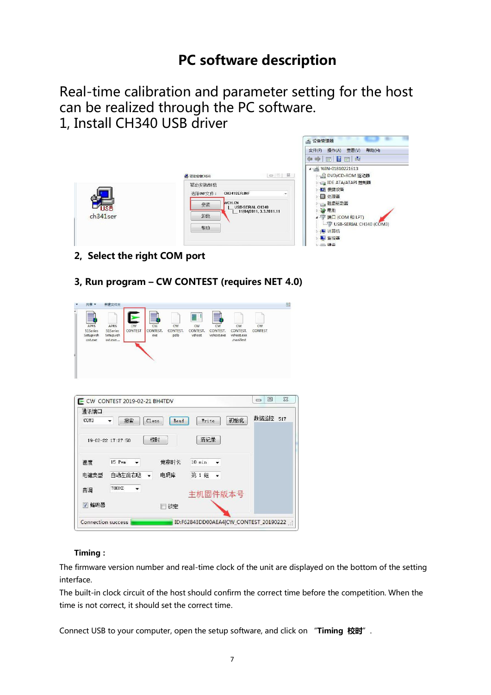## PC software description

Real-time calibration and parameter setting for the host can be realized through the PC software. 1, Install CH340 USB driver



- 2, Select the right COM port
- 3, Run program CW CONTEST (requires NET 4.0)

|                                          | 新建文件夹                                    |                                        |                       |                          |                              |                                           |                   | 賱        |
|------------------------------------------|------------------------------------------|----------------------------------------|-----------------------|--------------------------|------------------------------|-------------------------------------------|-------------------|----------|
| APRS<br>51Series<br>Setup.vsh<br>ost.exe | APRS<br>51Series<br>Setup.vsh<br>ost.exe | CW<br>CW<br>CONTEST<br>CONTEST.<br>exe | CW<br>CONTEST.<br>pdb | CW<br>CONTEST.<br>vshost | CW<br>CONTEST.<br>vshost.exe | CW<br>CONTEST.<br>vshost.exe<br>.manifest | CW<br>CONTEST     |          |
|                                          |                                          |                                        |                       |                          |                              |                                           |                   |          |
|                                          |                                          |                                        |                       |                          |                              |                                           |                   |          |
|                                          |                                          |                                        |                       |                          |                              |                                           | $\boxed{\square}$ | $\Sigma$ |
|                                          |                                          | E CW CONTEST 2019-02-21 BH4TDV         |                       |                          |                              |                                           | $\equiv$          |          |
| 通讯端口<br>COM3                             | 搜索                                       | Close                                  | Read                  | Write                    |                              | 初始化                                       | 数据监控              | 517      |
|                                          | 19-02-22 17:27:50                        | 柿时                                     |                       | 清记录                      |                              |                                           |                   |          |
|                                          |                                          |                                        |                       |                          |                              |                                           |                   |          |
| 速度                                       | 15 Pym                                   |                                        | 竟赛时长                  | $10$ min                 |                              |                                           |                   |          |
| 电键类型                                     | 自动左滴右哒                                   |                                        | 电码库                   | 第1组                      | ٠                            |                                           |                   |          |
| 音调                                       | 70017                                    |                                        |                       | 主机固件版本号                  |                              |                                           |                   |          |
| ☑ 蝗鸣器                                    |                                          |                                        | 锁定                    |                          |                              |                                           |                   |          |

#### Timing:

The firmware version number and real-time clock of the unit are displayed on the bottom of the setting interface.

The built-in clock circuit of the host should confirm the correct time before the competition. When the time is not correct, it should set the correct time.

Connect USB to your computer, open the setup software, and click on "Timing 校时".